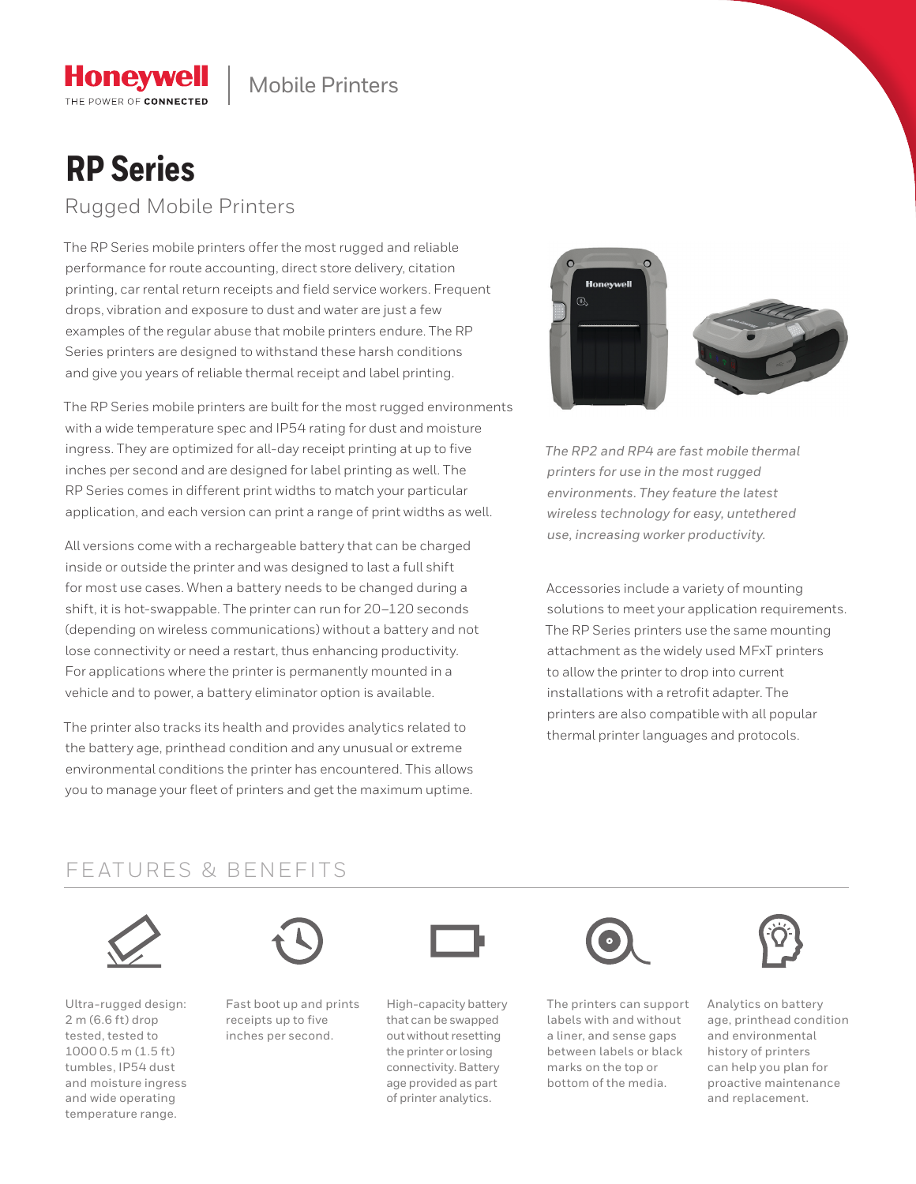# **RP Series**

**Honeywell** THE POWER OF CONNECTED

Rugged Mobile Printers

The RP Series mobile printers offer the most rugged and reliable performance for route accounting, direct store delivery, citation printing, car rental return receipts and field service workers. Frequent drops, vibration and exposure to dust and water are just a few examples of the regular abuse that mobile printers endure. The RP Series printers are designed to withstand these harsh conditions and give you years of reliable thermal receipt and label printing.

The RP Series mobile printers are built for the most rugged environments with a wide temperature spec and IP54 rating for dust and moisture ingress. They are optimized for all-day receipt printing at up to five inches per second and are designed for label printing as well. The RP Series comes in different print widths to match your particular application, and each version can print a range of print widths as well.

All versions come with a rechargeable battery that can be charged inside or outside the printer and was designed to last a full shift for most use cases. When a battery needs to be changed during a shift, it is hot-swappable. The printer can run for 20–120 seconds (depending on wireless communications) without a battery and not lose connectivity or need a restart, thus enhancing productivity. For applications where the printer is permanently mounted in a vehicle and to power, a battery eliminator option is available.

The printer also tracks its health and provides analytics related to the battery age, printhead condition and any unusual or extreme environmental conditions the printer has encountered. This allows you to manage your fleet of printers and get the maximum uptime.



*The RP2 and RP4 are fast mobile thermal printers for use in the most rugged environments. They feature the latest wireless technology for easy, untethered use, increasing worker productivity.*

Accessories include a variety of mounting solutions to meet your application requirements. The RP Series printers use the same mounting attachment as the widely used MFxT printers to allow the printer to drop into current installations with a retrofit adapter. The printers are also compatible with all popular thermal printer languages and protocols.

### FEATURES & BENEFITS



Ultra-rugged design: 2 m (6.6 ft) drop tested, tested to 1000 0.5 m (1.5 ft) tumbles, IP54 dust and moisture ingress and wide operating temperature range.



Fast boot up and prints receipts up to five inches per second.



High-capacity battery that can be swapped out without resetting the printer or losing connectivity. Battery age provided as part of printer analytics.



The printers can support labels with and without a liner, and sense gaps between labels or black marks on the top or bottom of the media.



Analytics on battery age, printhead condition and environmental history of printers can help you plan for proactive maintenance and replacement.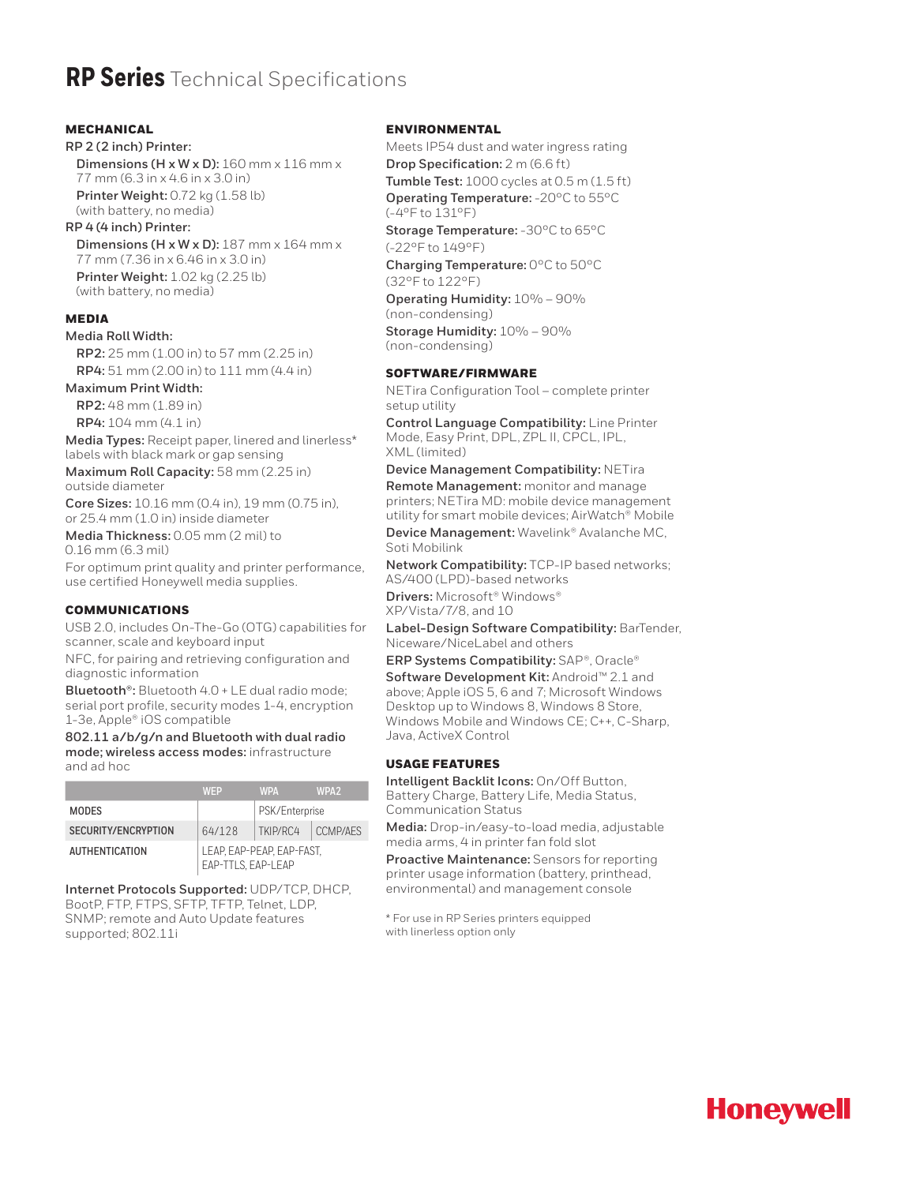### **RP Series** Technical Specifications

#### MECHANICAL

**RP 2 (2 inch) Printer: Dimensions (H x W x D):** 160 mm x 116 mm x 77 mm (6.3 in x 4.6 in x 3.0 in)

**Printer Weight:** 0.72 kg (1.58 lb) (with battery, no media)

**RP 4 (4 inch) Printer: Dimensions (H x W x D):** 187 mm x 164 mm x 77 mm (7.36 in x 6.46 in x 3.0 in) **Printer Weight:** 1.02 kg (2.25 lb) (with battery, no media)

#### MEDIA

**Media Roll Width:**

**RP2:** 25 mm (1.00 in) to 57 mm (2.25 in) **RP4:** 51 mm (2.00 in) to 111 mm (4.4 in)

#### **Maximum Print Width:**

**RP2:** 48 mm (1.89 in) **RP4:** 104 mm (4.1 in)

**Media Types:** Receipt paper, linered and linerless\* labels with black mark or gap sensing

**Maximum Roll Capacity:** 58 mm (2.25 in) outside diameter

**Core Sizes:** 10.16 mm (0.4 in), 19 mm (0.75 in), or 25.4 mm (1.0 in) inside diameter

**Media Thickness:** 0.05 mm (2 mil) to 0.16 mm (6.3 mil)

For optimum print quality and printer performance, use certified Honeywell media supplies.

#### COMMUNICATIONS

USB 2.0, includes On-The-Go (OTG) capabilities for scanner, scale and keyboard input

NFC, for pairing and retrieving configuration and diagnostic information

**Bluetooth®:** Bluetooth 4.0 + LE dual radio mode; serial port profile, security modes 1-4, encryption 1-3e, Apple® iOS compatible

**802.11 a/b/g/n and Bluetooth with dual radio mode; wireless access modes:** infrastructure and ad hoc

|                       | <b>WFP</b>                                      | <b>WPA</b>     | WPA <sub>2</sub> |
|-----------------------|-------------------------------------------------|----------------|------------------|
| <b>MODES</b>          |                                                 | PSK/Enterprise |                  |
| SECURITY/ENCRYPTION   | 64/128                                          | TKIP/RC4       | CCMP/AFS         |
| <b>AUTHENTICATION</b> | LEAP. EAP-PEAP. EAP-FAST.<br>EAP-TTLS, EAP-LEAP |                |                  |

**Internet Protocols Supported:** UDP/TCP, DHCP, BootP, FTP, FTPS, SFTP, TFTP, Telnet, LDP, SNMP; remote and Auto Update features supported; 802.11i

#### ENVIRONMENTAL

Meets IP54 dust and water ingress rating **Drop Specification:** 2 m (6.6 ft) **Tumble Test:** 1000 cycles at 0.5 m (1.5 ft) **Operating Temperature:** -20°C to 55°C (-4°F to 131°F)

**Storage Temperature:** -30°C to 65°C (-22°F to 149°F)

**Charging Temperature:** 0°C to 50°C (32°F to 122°F)

**Operating Humidity:** 10% – 90% (non-condensing)

**Storage Humidity:** 10% – 90% (non-condensing)

#### SOFTWARE/FIRMWARE

NETira Configuration Tool – complete printer setup utility

**Control Language Compatibility:** Line Printer Mode, Easy Print, DPL, ZPL II, CPCL, IPL, XML (limited)

**Device Management Compatibility:** NETira

**Remote Management:** monitor and manage printers; NETira MD: mobile device management utility for smart mobile devices; AirWatch® Mobile **Device Management:** Wavelink® Avalanche MC, Soti Mobilink

**Network Compatibility:** TCP-IP based networks; AS/400 (LPD)-based networks

**Drivers:** Microsoft® Windows® XP/Vista/7/8, and 10

**Label-Design Software Compatibility:** BarTender, Niceware/NiceLabel and others

**ERP Systems Compatibility:** SAP®, Oracle® **Software Development Kit:** Android™ 2.1 and above; Apple iOS 5, 6 and 7; Microsoft Windows Desktop up to Windows 8, Windows 8 Store, Windows Mobile and Windows CE; C++, C-Sharp, Java, ActiveX Control

#### USAGE FEATURES

**Intelligent Backlit Icons:** On/Off Button, Battery Charge, Battery Life, Media Status, Communication Status

**Media:** Drop-in/easy-to-load media, adjustable media arms, 4 in printer fan fold slot

**Proactive Maintenance:** Sensors for reporting printer usage information (battery, printhead, environmental) and management console

\* For use in RP Series printers equipped with linerless option only